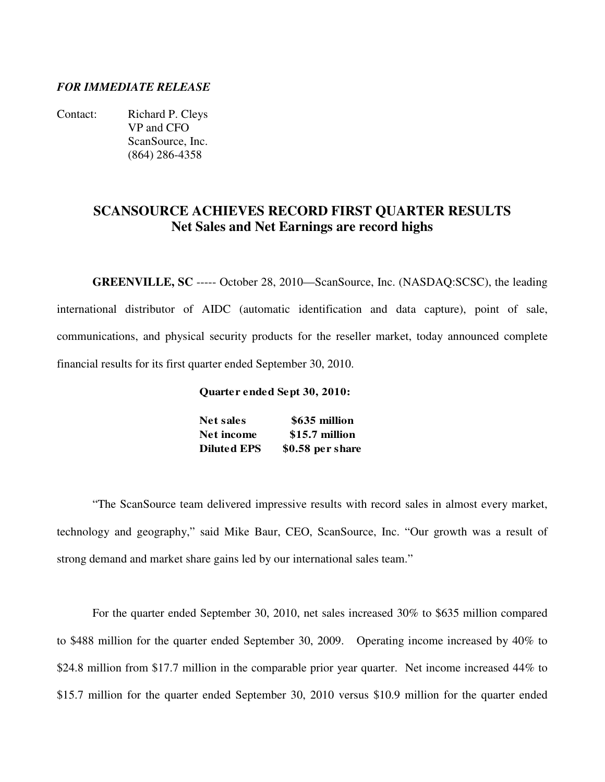### *FOR IMMEDIATE RELEASE*

Contact: Richard P. Cleys VP and CFO ScanSource, Inc. (864) 286-4358

## **SCANSOURCE ACHIEVES RECORD FIRST QUARTER RESULTS Net Sales and Net Earnings are record highs**

**GREENVILLE, SC** ----- October 28, 2010—ScanSource, Inc. (NASDAQ:SCSC), the leading international distributor of AIDC (automatic identification and data capture), point of sale, communications, and physical security products for the reseller market, today announced complete financial results for its first quarter ended September 30, 2010.

#### **Quarter ended Sept 30, 2010:**

| <b>Net sales</b>   | \$635 million    |
|--------------------|------------------|
| Net income         | \$15.7 million   |
| <b>Diluted EPS</b> | \$0.58 per share |

 "The ScanSource team delivered impressive results with record sales in almost every market, technology and geography," said Mike Baur, CEO, ScanSource, Inc. "Our growth was a result of strong demand and market share gains led by our international sales team."

For the quarter ended September 30, 2010, net sales increased 30% to \$635 million compared to \$488 million for the quarter ended September 30, 2009. Operating income increased by 40% to \$24.8 million from \$17.7 million in the comparable prior year quarter. Net income increased 44% to \$15.7 million for the quarter ended September 30, 2010 versus \$10.9 million for the quarter ended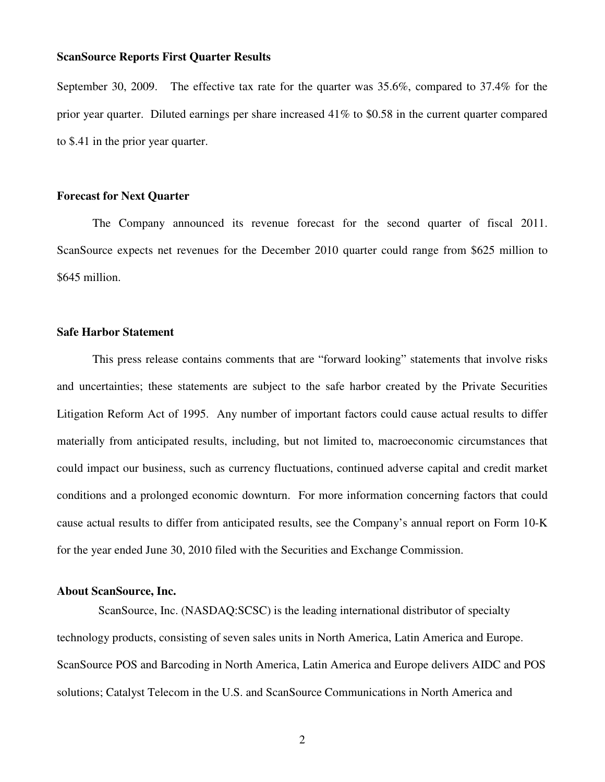September 30, 2009. The effective tax rate for the quarter was 35.6%, compared to 37.4% for the prior year quarter. Diluted earnings per share increased 41% to \$0.58 in the current quarter compared to \$.41 in the prior year quarter.

#### **Forecast for Next Quarter**

 The Company announced its revenue forecast for the second quarter of fiscal 2011. ScanSource expects net revenues for the December 2010 quarter could range from \$625 million to \$645 million.

#### **Safe Harbor Statement**

 This press release contains comments that are "forward looking" statements that involve risks and uncertainties; these statements are subject to the safe harbor created by the Private Securities Litigation Reform Act of 1995. Any number of important factors could cause actual results to differ materially from anticipated results, including, but not limited to, macroeconomic circumstances that could impact our business, such as currency fluctuations, continued adverse capital and credit market conditions and a prolonged economic downturn. For more information concerning factors that could cause actual results to differ from anticipated results, see the Company's annual report on Form 10-K for the year ended June 30, 2010 filed with the Securities and Exchange Commission.

#### **About ScanSource, Inc.**

 ScanSource, Inc. (NASDAQ:SCSC) is the leading international distributor of specialty technology products, consisting of seven sales units in North America, Latin America and Europe. ScanSource POS and Barcoding in North America, Latin America and Europe delivers AIDC and POS solutions; Catalyst Telecom in the U.S. and ScanSource Communications in North America and

2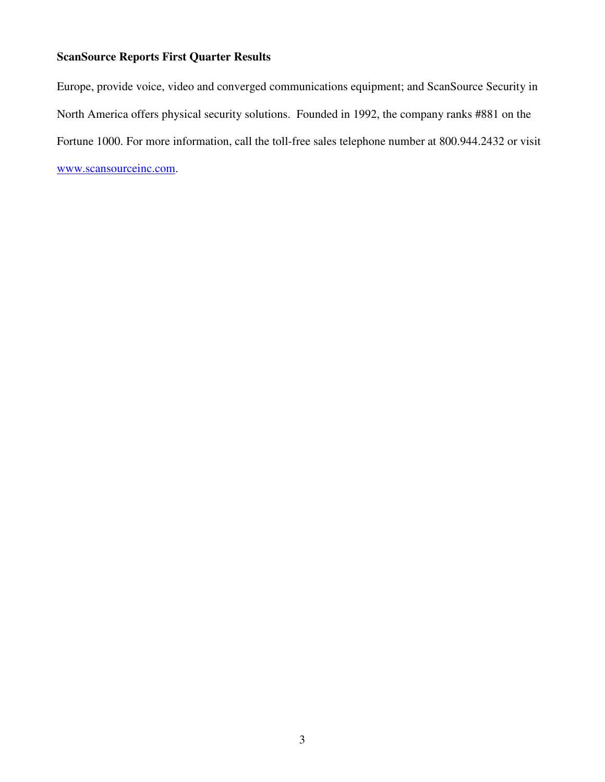Europe, provide voice, video and converged communications equipment; and ScanSource Security in North America offers physical security solutions. Founded in 1992, the company ranks #881 on the Fortune 1000. For more information, call the toll-free sales telephone number at 800.944.2432 or visit www.scansourceinc.com.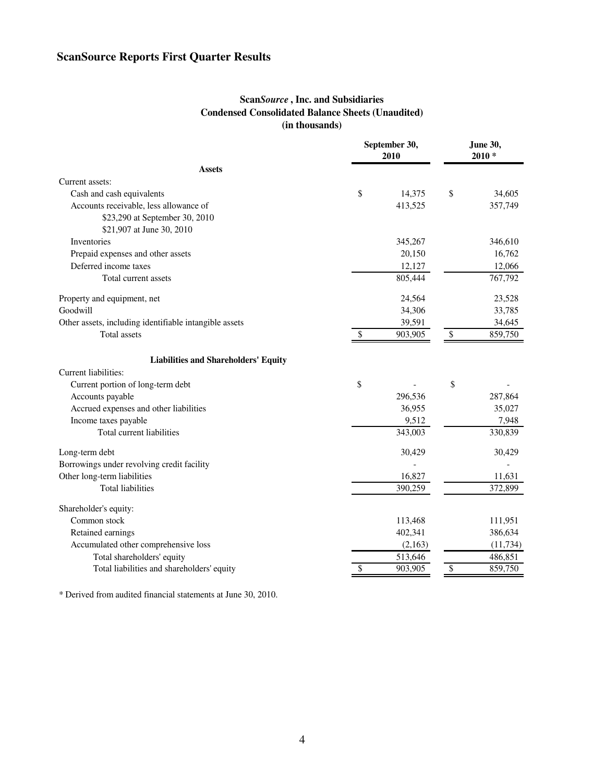### **Scan***Source* **, Inc. and Subsidiaries Condensed Consolidated Balance Sheets (Unaudited) (in thousands)**

| September 30,<br>2010                                  |    |         | <b>June 30,</b><br>$2010*$ |           |
|--------------------------------------------------------|----|---------|----------------------------|-----------|
| <b>Assets</b>                                          |    |         |                            |           |
| Current assets:                                        |    |         |                            |           |
| Cash and cash equivalents                              | \$ | 14,375  | \$                         | 34,605    |
| Accounts receivable, less allowance of                 |    | 413,525 |                            | 357,749   |
| \$23,290 at September 30, 2010                         |    |         |                            |           |
| \$21,907 at June 30, 2010                              |    |         |                            |           |
| Inventories                                            |    | 345,267 |                            | 346,610   |
| Prepaid expenses and other assets                      |    | 20,150  |                            | 16,762    |
| Deferred income taxes                                  |    | 12,127  |                            | 12,066    |
| Total current assets                                   |    | 805,444 |                            | 767,792   |
| Property and equipment, net                            |    | 24,564  |                            | 23,528    |
| Goodwill                                               |    | 34,306  |                            | 33,785    |
| Other assets, including identifiable intangible assets |    | 39,591  |                            | 34,645    |
| <b>Total assets</b>                                    | \$ | 903,905 | \$                         | 859,750   |
| <b>Liabilities and Shareholders' Equity</b>            |    |         |                            |           |
| Current liabilities:                                   |    |         |                            |           |
| Current portion of long-term debt                      | \$ |         | \$                         |           |
| Accounts payable                                       |    | 296,536 |                            | 287,864   |
| Accrued expenses and other liabilities                 |    | 36,955  |                            | 35,027    |
| Income taxes payable                                   |    | 9,512   |                            | 7,948     |
| Total current liabilities                              |    | 343,003 |                            | 330,839   |
| Long-term debt                                         |    | 30,429  |                            | 30,429    |
| Borrowings under revolving credit facility             |    |         |                            |           |
| Other long-term liabilities                            |    | 16,827  |                            | 11,631    |
| <b>Total liabilities</b>                               |    | 390,259 |                            | 372,899   |
| Shareholder's equity:                                  |    |         |                            |           |
| Common stock                                           |    | 113,468 |                            | 111,951   |
| Retained earnings                                      |    | 402,341 |                            | 386,634   |
| Accumulated other comprehensive loss                   |    | (2,163) |                            | (11, 734) |
| Total shareholders' equity                             |    | 513,646 |                            | 486,851   |
| Total liabilities and shareholders' equity             | \$ | 903,905 | \$                         | 859,750   |

\* Derived from audited financial statements at June 30, 2010.